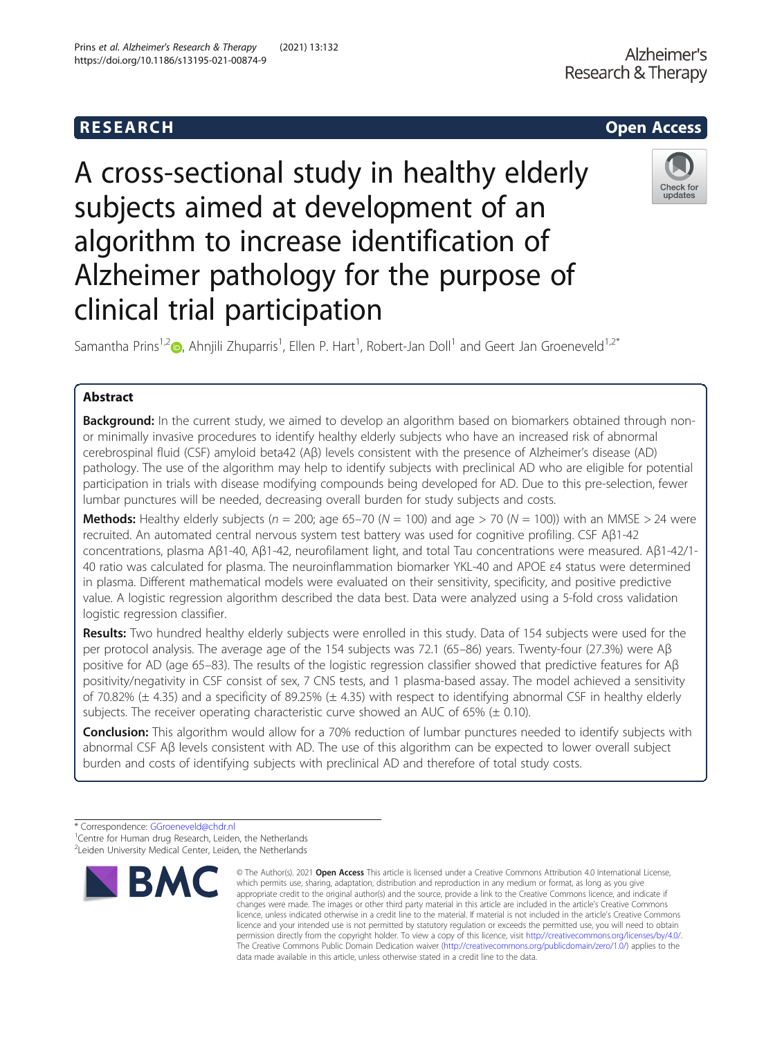## R E S EAR CH Open Access

# A cross-sectional study in healthy elderly subjects aimed at development of an algorithm to increase identification of Alzheimer pathology for the purpose of clinical trial participation

Samantha Prins<sup>1[,](http://orcid.org/0000-0002-3882-7906)2</sup> $\bullet$ , Ahnjili Zhuparris<sup>1</sup>, Ellen P. Hart<sup>1</sup>, Robert-Jan Doll<sup>1</sup> and Geert Jan Groeneveld<sup>1,2\*</sup>

## Abstract

**Background:** In the current study, we aimed to develop an algorithm based on biomarkers obtained through nonor minimally invasive procedures to identify healthy elderly subjects who have an increased risk of abnormal cerebrospinal fluid (CSF) amyloid beta42 (Aβ) levels consistent with the presence of Alzheimer's disease (AD) pathology. The use of the algorithm may help to identify subjects with preclinical AD who are eligible for potential participation in trials with disease modifying compounds being developed for AD. Due to this pre-selection, fewer lumbar punctures will be needed, decreasing overall burden for study subjects and costs.

**Methods:** Healthy elderly subjects ( $n = 200$ ; age 65–70 ( $N = 100$ ) and age > 70 ( $N = 100$ )) with an MMSE > 24 were recruited. An automated central nervous system test battery was used for cognitive profiling. CSF Aβ1-42 concentrations, plasma Aβ1-40, Aβ1-42, neurofilament light, and total Tau concentrations were measured. Aβ1-42/1- 40 ratio was calculated for plasma. The neuroinflammation biomarker YKL-40 and APOE ε4 status were determined in plasma. Different mathematical models were evaluated on their sensitivity, specificity, and positive predictive value. A logistic regression algorithm described the data best. Data were analyzed using a 5-fold cross validation logistic regression classifier.

Results: Two hundred healthy elderly subjects were enrolled in this study. Data of 154 subjects were used for the per protocol analysis. The average age of the 154 subjects was 72.1 (65–86) years. Twenty-four (27.3%) were Aβ positive for AD (age 65–83). The results of the logistic regression classifier showed that predictive features for Aβ positivity/negativity in CSF consist of sex, 7 CNS tests, and 1 plasma-based assay. The model achieved a sensitivity of 70.82% ( $\pm$  4.35) and a specificity of 89.25% ( $\pm$  4.35) with respect to identifying abnormal CSF in healthy elderly subjects. The receiver operating characteristic curve showed an AUC of 65%  $(\pm 0.10)$ .

Conclusion: This algorithm would allow for a 70% reduction of lumbar punctures needed to identify subjects with abnormal CSF Aβ levels consistent with AD. The use of this algorithm can be expected to lower overall subject burden and costs of identifying subjects with preclinical AD and therefore of total study costs.

© The Author(s), 2021 **Open Access** This article is licensed under a Creative Commons Attribution 4.0 International License,







<sup>\*</sup> Correspondence: [GGroeneveld@chdr.nl](mailto:GGroeneveld@chdr.nl) <sup>1</sup>

<sup>&</sup>lt;sup>1</sup> Centre for Human drug Research, Leiden, the Netherlands <sup>2</sup> Leiden University Medical Center, Leiden, the Netherlands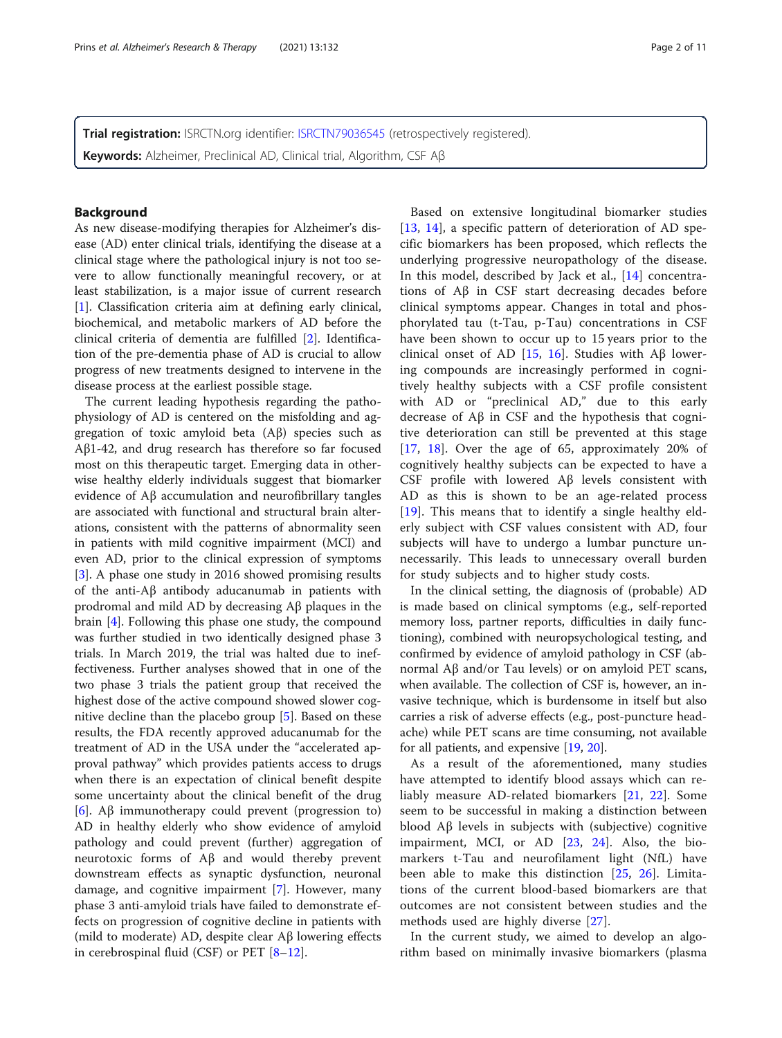Trial registration: ISRCTN.org identifier: [ISRCTN79036545](https://doi.org/10.1186/ISRCTN79036545) (retrospectively registered). Keywords: Alzheimer, Preclinical AD, Clinical trial, Algorithm, CSF Aβ

## Background

As new disease-modifying therapies for Alzheimer's disease (AD) enter clinical trials, identifying the disease at a clinical stage where the pathological injury is not too severe to allow functionally meaningful recovery, or at least stabilization, is a major issue of current research [[1\]](#page-9-0). Classification criteria aim at defining early clinical, biochemical, and metabolic markers of AD before the clinical criteria of dementia are fulfilled [[2\]](#page-9-0). Identification of the pre-dementia phase of AD is crucial to allow progress of new treatments designed to intervene in the disease process at the earliest possible stage.

The current leading hypothesis regarding the pathophysiology of AD is centered on the misfolding and aggregation of toxic amyloid beta (Aβ) species such as Aβ1-42, and drug research has therefore so far focused most on this therapeutic target. Emerging data in otherwise healthy elderly individuals suggest that biomarker evidence of Aβ accumulation and neurofibrillary tangles are associated with functional and structural brain alterations, consistent with the patterns of abnormality seen in patients with mild cognitive impairment (MCI) and even AD, prior to the clinical expression of symptoms [[3\]](#page-9-0). A phase one study in 2016 showed promising results of the anti-Aβ antibody aducanumab in patients with prodromal and mild AD by decreasing Aβ plaques in the brain [\[4](#page-9-0)]. Following this phase one study, the compound was further studied in two identically designed phase 3 trials. In March 2019, the trial was halted due to ineffectiveness. Further analyses showed that in one of the two phase 3 trials the patient group that received the highest dose of the active compound showed slower cognitive decline than the placebo group [[5\]](#page-9-0). Based on these results, the FDA recently approved aducanumab for the treatment of AD in the USA under the "accelerated approval pathway" which provides patients access to drugs when there is an expectation of clinical benefit despite some uncertainty about the clinical benefit of the drug [[6\]](#page-9-0). Aβ immunotherapy could prevent (progression to) AD in healthy elderly who show evidence of amyloid pathology and could prevent (further) aggregation of neurotoxic forms of Aβ and would thereby prevent downstream effects as synaptic dysfunction, neuronal damage, and cognitive impairment [[7](#page-9-0)]. However, many phase 3 anti-amyloid trials have failed to demonstrate effects on progression of cognitive decline in patients with (mild to moderate) AD, despite clear Aβ lowering effects in cerebrospinal fluid (CSF) or PET [\[8](#page-9-0)–[12\]](#page-9-0).

Based on extensive longitudinal biomarker studies [[13,](#page-9-0) [14](#page-9-0)], a specific pattern of deterioration of AD specific biomarkers has been proposed, which reflects the underlying progressive neuropathology of the disease. In this model, described by Jack et al., [[14\]](#page-9-0) concentrations of Aβ in CSF start decreasing decades before clinical symptoms appear. Changes in total and phosphorylated tau (t-Tau, p-Tau) concentrations in CSF have been shown to occur up to 15 years prior to the clinical onset of AD [[15,](#page-9-0) [16\]](#page-9-0). Studies with Aβ lowering compounds are increasingly performed in cognitively healthy subjects with a CSF profile consistent with AD or "preclinical AD," due to this early decrease of Aβ in CSF and the hypothesis that cognitive deterioration can still be prevented at this stage [[17,](#page-9-0) [18\]](#page-9-0). Over the age of 65, approximately 20% of cognitively healthy subjects can be expected to have a CSF profile with lowered Aβ levels consistent with AD as this is shown to be an age-related process [[19\]](#page-9-0). This means that to identify a single healthy elderly subject with CSF values consistent with AD, four subjects will have to undergo a lumbar puncture unnecessarily. This leads to unnecessary overall burden for study subjects and to higher study costs.

In the clinical setting, the diagnosis of (probable) AD is made based on clinical symptoms (e.g., self-reported memory loss, partner reports, difficulties in daily functioning), combined with neuropsychological testing, and confirmed by evidence of amyloid pathology in CSF (abnormal Aβ and/or Tau levels) or on amyloid PET scans, when available. The collection of CSF is, however, an invasive technique, which is burdensome in itself but also carries a risk of adverse effects (e.g., post-puncture headache) while PET scans are time consuming, not available for all patients, and expensive [[19](#page-9-0), [20](#page-9-0)].

As a result of the aforementioned, many studies have attempted to identify blood assays which can reliably measure AD-related biomarkers [[21,](#page-9-0) [22](#page-9-0)]. Some seem to be successful in making a distinction between blood Aβ levels in subjects with (subjective) cognitive impairment, MCI, or AD [[23,](#page-9-0) [24](#page-9-0)]. Also, the biomarkers t-Tau and neurofilament light (NfL) have been able to make this distinction [[25,](#page-9-0) [26\]](#page-9-0). Limitations of the current blood-based biomarkers are that outcomes are not consistent between studies and the methods used are highly diverse [[27\]](#page-9-0).

In the current study, we aimed to develop an algorithm based on minimally invasive biomarkers (plasma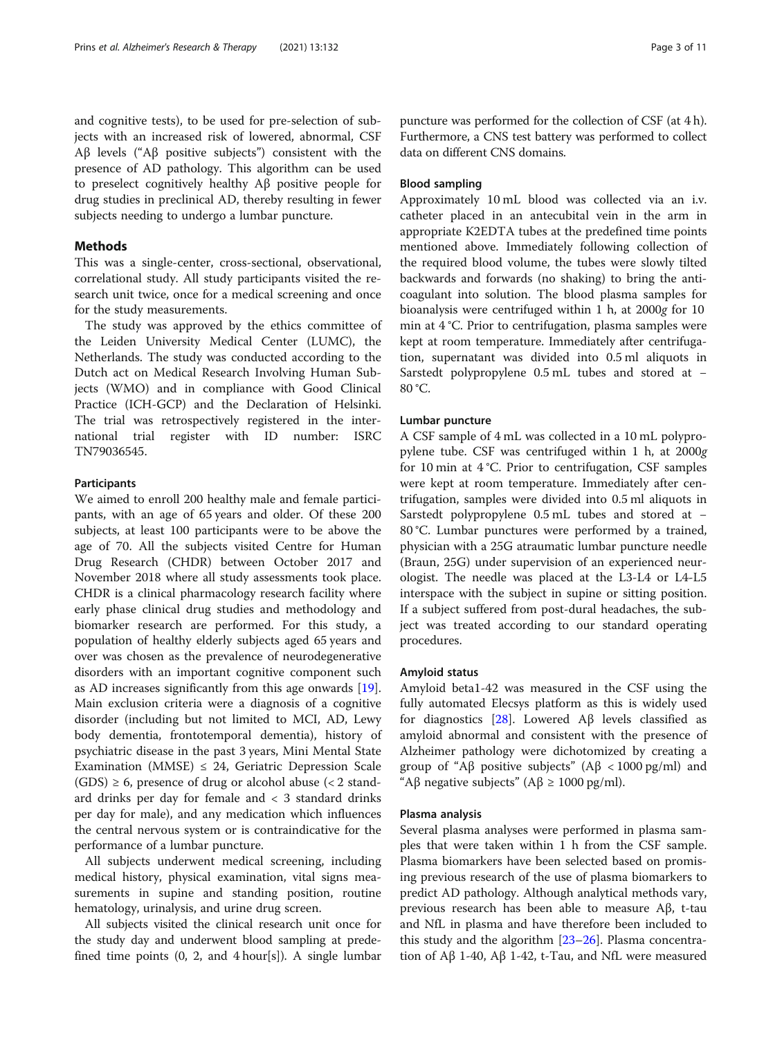and cognitive tests), to be used for pre-selection of subjects with an increased risk of lowered, abnormal, CSF Aβ levels ("Aβ positive subjects") consistent with the presence of AD pathology. This algorithm can be used to preselect cognitively healthy Aβ positive people for drug studies in preclinical AD, thereby resulting in fewer subjects needing to undergo a lumbar puncture.

## Methods

This was a single-center, cross-sectional, observational, correlational study. All study participants visited the research unit twice, once for a medical screening and once for the study measurements.

The study was approved by the ethics committee of the Leiden University Medical Center (LUMC), the Netherlands. The study was conducted according to the Dutch act on Medical Research Involving Human Subjects (WMO) and in compliance with Good Clinical Practice (ICH-GCP) and the Declaration of Helsinki. The trial was retrospectively registered in the international trial register with ID number: ISRC TN79036545.

### Participants

We aimed to enroll 200 healthy male and female participants, with an age of 65 years and older. Of these 200 subjects, at least 100 participants were to be above the age of 70. All the subjects visited Centre for Human Drug Research (CHDR) between October 2017 and November 2018 where all study assessments took place. CHDR is a clinical pharmacology research facility where early phase clinical drug studies and methodology and biomarker research are performed. For this study, a population of healthy elderly subjects aged 65 years and over was chosen as the prevalence of neurodegenerative disorders with an important cognitive component such as AD increases significantly from this age onwards [\[19](#page-9-0)]. Main exclusion criteria were a diagnosis of a cognitive disorder (including but not limited to MCI, AD, Lewy body dementia, frontotemporal dementia), history of psychiatric disease in the past 3 years, Mini Mental State Examination (MMSE)  $\leq$  24, Geriatric Depression Scale  $(GDS) \geq 6$ , presence of drug or alcohol abuse (< 2 standard drinks per day for female and  $\langle$  3 standard drinks per day for male), and any medication which influences the central nervous system or is contraindicative for the performance of a lumbar puncture.

All subjects underwent medical screening, including medical history, physical examination, vital signs measurements in supine and standing position, routine hematology, urinalysis, and urine drug screen.

All subjects visited the clinical research unit once for the study day and underwent blood sampling at predefined time points (0, 2, and 4 hour[s]). A single lumbar

puncture was performed for the collection of CSF (at 4 h). Furthermore, a CNS test battery was performed to collect data on different CNS domains.

## Blood sampling

Approximately 10 mL blood was collected via an i.v. catheter placed in an antecubital vein in the arm in appropriate K2EDTA tubes at the predefined time points mentioned above. Immediately following collection of the required blood volume, the tubes were slowly tilted backwards and forwards (no shaking) to bring the anticoagulant into solution. The blood plasma samples for bioanalysis were centrifuged within 1 h, at 2000g for 10 min at 4 °C. Prior to centrifugation, plasma samples were kept at room temperature. Immediately after centrifugation, supernatant was divided into 0.5 ml aliquots in Sarstedt polypropylene 0.5 mL tubes and stored at − 80 °C.

## Lumbar puncture

A CSF sample of 4 mL was collected in a 10 mL polypropylene tube. CSF was centrifuged within 1 h, at 2000g for 10 min at 4 °C. Prior to centrifugation, CSF samples were kept at room temperature. Immediately after centrifugation, samples were divided into 0.5 ml aliquots in Sarstedt polypropylene 0.5 mL tubes and stored at − 80 °C. Lumbar punctures were performed by a trained, physician with a 25G atraumatic lumbar puncture needle (Braun, 25G) under supervision of an experienced neurologist. The needle was placed at the L3-L4 or L4-L5 interspace with the subject in supine or sitting position. If a subject suffered from post-dural headaches, the subject was treated according to our standard operating procedures.

## Amyloid status

Amyloid beta1-42 was measured in the CSF using the fully automated Elecsys platform as this is widely used for diagnostics [\[28](#page-10-0)]. Lowered Aβ levels classified as amyloid abnormal and consistent with the presence of Alzheimer pathology were dichotomized by creating a group of "Aβ positive subjects" ( $\text{A}\beta$  < 1000 pg/ml) and "Aβ negative subjects" ( $A\beta \ge 1000$  pg/ml).

## Plasma analysis

Several plasma analyses were performed in plasma samples that were taken within 1 h from the CSF sample. Plasma biomarkers have been selected based on promising previous research of the use of plasma biomarkers to predict AD pathology. Although analytical methods vary, previous research has been able to measure Aβ, t-tau and NfL in plasma and have therefore been included to this study and the algorithm  $[23-26]$  $[23-26]$  $[23-26]$ . Plasma concentration of  $\text{A}\beta$  1-40,  $\text{A}\beta$  1-42, t-Tau, and NfL were measured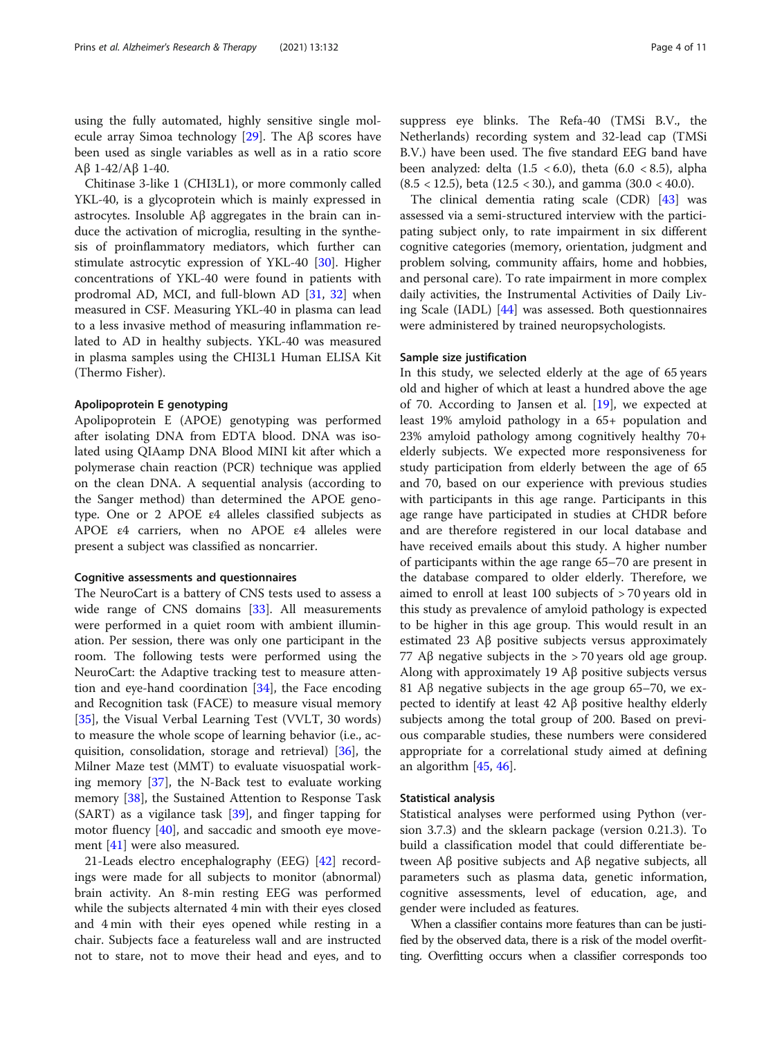using the fully automated, highly sensitive single molecule array Simoa technology [\[29](#page-10-0)]. The Aβ scores have been used as single variables as well as in a ratio score Aβ 1-42/Aβ 1-40.

Chitinase 3-like 1 (CHI3L1), or more commonly called YKL-40, is a glycoprotein which is mainly expressed in astrocytes. Insoluble Aβ aggregates in the brain can induce the activation of microglia, resulting in the synthesis of proinflammatory mediators, which further can stimulate astrocytic expression of YKL-40 [[30](#page-10-0)]. Higher concentrations of YKL-40 were found in patients with prodromal AD, MCI, and full-blown AD [[31](#page-10-0), [32](#page-10-0)] when measured in CSF. Measuring YKL-40 in plasma can lead to a less invasive method of measuring inflammation related to AD in healthy subjects. YKL-40 was measured in plasma samples using the CHI3L1 Human ELISA Kit (Thermo Fisher).

## Apolipoprotein E genotyping

Apolipoprotein E (APOE) genotyping was performed after isolating DNA from EDTA blood. DNA was isolated using QIAamp DNA Blood MINI kit after which a polymerase chain reaction (PCR) technique was applied on the clean DNA. A sequential analysis (according to the Sanger method) than determined the APOE genotype. One or 2 APOE ε4 alleles classified subjects as APOE ε4 carriers, when no APOE ε4 alleles were present a subject was classified as noncarrier.

#### Cognitive assessments and questionnaires

The NeuroCart is a battery of CNS tests used to assess a wide range of CNS domains [[33](#page-10-0)]. All measurements were performed in a quiet room with ambient illumination. Per session, there was only one participant in the room. The following tests were performed using the NeuroCart: the Adaptive tracking test to measure attention and eye-hand coordination [[34](#page-10-0)], the Face encoding and Recognition task (FACE) to measure visual memory [[35\]](#page-10-0), the Visual Verbal Learning Test (VVLT, 30 words) to measure the whole scope of learning behavior (i.e., acquisition, consolidation, storage and retrieval) [[36\]](#page-10-0), the Milner Maze test (MMT) to evaluate visuospatial working memory [[37](#page-10-0)], the N-Back test to evaluate working memory [\[38](#page-10-0)], the Sustained Attention to Response Task  $(SART)$  as a vigilance task  $[39]$  $[39]$ , and finger tapping for motor fluency [\[40](#page-10-0)], and saccadic and smooth eye movement [[41\]](#page-10-0) were also measured.

21-Leads electro encephalography (EEG) [\[42\]](#page-10-0) recordings were made for all subjects to monitor (abnormal) brain activity. An 8-min resting EEG was performed while the subjects alternated 4 min with their eyes closed and 4 min with their eyes opened while resting in a chair. Subjects face a featureless wall and are instructed not to stare, not to move their head and eyes, and to suppress eye blinks. The Refa-40 (TMSi B.V., the Netherlands) recording system and 32-lead cap (TMSi B.V.) have been used. The five standard EEG band have been analyzed: delta  $(1.5 \lt 6.0)$ , theta  $(6.0 \lt 8.5)$ , alpha (8.5 < 12.5), beta (12.5 < 30.), and gamma (30.0 < 40.0).

The clinical dementia rating scale (CDR) [[43](#page-10-0)] was assessed via a semi-structured interview with the participating subject only, to rate impairment in six different cognitive categories (memory, orientation, judgment and problem solving, community affairs, home and hobbies, and personal care). To rate impairment in more complex daily activities, the Instrumental Activities of Daily Living Scale (IADL) [[44](#page-10-0)] was assessed. Both questionnaires were administered by trained neuropsychologists.

## Sample size justification

In this study, we selected elderly at the age of 65 years old and higher of which at least a hundred above the age of 70. According to Jansen et al. [[19](#page-9-0)], we expected at least 19% amyloid pathology in a 65+ population and 23% amyloid pathology among cognitively healthy 70+ elderly subjects. We expected more responsiveness for study participation from elderly between the age of 65 and 70, based on our experience with previous studies with participants in this age range. Participants in this age range have participated in studies at CHDR before and are therefore registered in our local database and have received emails about this study. A higher number of participants within the age range 65–70 are present in the database compared to older elderly. Therefore, we aimed to enroll at least 100 subjects of > 70 years old in this study as prevalence of amyloid pathology is expected to be higher in this age group. This would result in an estimated 23 Aβ positive subjects versus approximately 77 Aβ negative subjects in the > 70 years old age group. Along with approximately 19 Aβ positive subjects versus 81 A $\beta$  negative subjects in the age group 65–70, we expected to identify at least 42 Aβ positive healthy elderly subjects among the total group of 200. Based on previous comparable studies, these numbers were considered appropriate for a correlational study aimed at defining an algorithm [\[45](#page-10-0), [46](#page-10-0)].

## Statistical analysis

Statistical analyses were performed using Python (version 3.7.3) and the sklearn package (version 0.21.3). To build a classification model that could differentiate between Aβ positive subjects and Aβ negative subjects, all parameters such as plasma data, genetic information, cognitive assessments, level of education, age, and gender were included as features.

When a classifier contains more features than can be justified by the observed data, there is a risk of the model overfitting. Overfitting occurs when a classifier corresponds too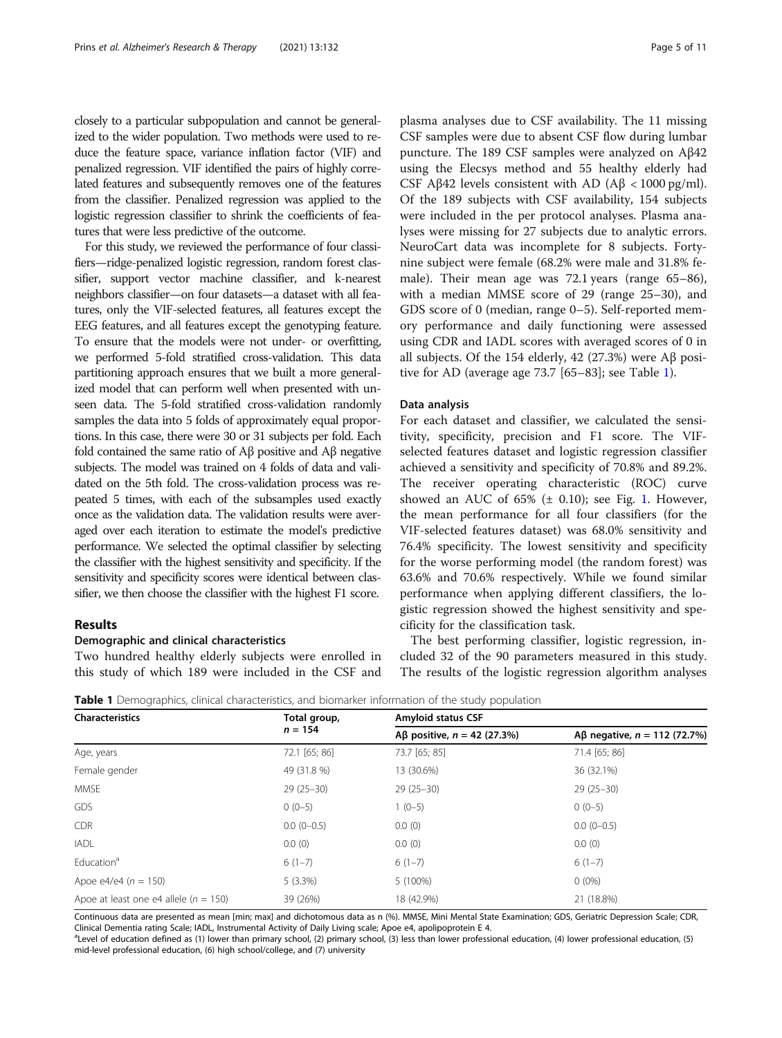closely to a particular subpopulation and cannot be generalized to the wider population. Two methods were used to reduce the feature space, variance inflation factor (VIF) and penalized regression. VIF identified the pairs of highly correlated features and subsequently removes one of the features from the classifier. Penalized regression was applied to the logistic regression classifier to shrink the coefficients of features that were less predictive of the outcome.

For this study, we reviewed the performance of four classifiers—ridge-penalized logistic regression, random forest classifier, support vector machine classifier, and k-nearest neighbors classifier—on four datasets—a dataset with all features, only the VIF-selected features, all features except the EEG features, and all features except the genotyping feature. To ensure that the models were not under- or overfitting, we performed 5-fold stratified cross-validation. This data partitioning approach ensures that we built a more generalized model that can perform well when presented with unseen data. The 5-fold stratified cross-validation randomly samples the data into 5 folds of approximately equal proportions. In this case, there were 30 or 31 subjects per fold. Each fold contained the same ratio of Aβ positive and Aβ negative subjects. The model was trained on 4 folds of data and validated on the 5th fold. The cross-validation process was repeated 5 times, with each of the subsamples used exactly once as the validation data. The validation results were averaged over each iteration to estimate the model's predictive performance. We selected the optimal classifier by selecting the classifier with the highest sensitivity and specificity. If the sensitivity and specificity scores were identical between classifier, we then choose the classifier with the highest F1 score.

## Results

#### Demographic and clinical characteristics

Two hundred healthy elderly subjects were enrolled in this study of which 189 were included in the CSF and plasma analyses due to CSF availability. The 11 missing CSF samples were due to absent CSF flow during lumbar puncture. The 189 CSF samples were analyzed on Aβ42 using the Elecsys method and 55 healthy elderly had CSF Aβ42 levels consistent with AD ( $Aβ < 1000$  pg/ml). Of the 189 subjects with CSF availability, 154 subjects were included in the per protocol analyses. Plasma analyses were missing for 27 subjects due to analytic errors. NeuroCart data was incomplete for 8 subjects. Fortynine subject were female (68.2% were male and 31.8% female). Their mean age was 72.1 years (range 65–86), with a median MMSE score of 29 (range 25–30), and GDS score of 0 (median, range 0–5). Self-reported memory performance and daily functioning were assessed using CDR and IADL scores with averaged scores of 0 in all subjects. Of the 154 elderly, 42 (27.3%) were Aβ positive for AD (average age 73.7 [65–83]; see Table 1).

### Data analysis

For each dataset and classifier, we calculated the sensitivity, specificity, precision and F1 score. The VIFselected features dataset and logistic regression classifier achieved a sensitivity and specificity of 70.8% and 89.2%. The receiver operating characteristic (ROC) curve showed an AUC of  $65\%$  ( $\pm$  0.[1](#page-5-0)0); see Fig. 1. However, the mean performance for all four classifiers (for the VIF-selected features dataset) was 68.0% sensitivity and 76.4% specificity. The lowest sensitivity and specificity for the worse performing model (the random forest) was 63.6% and 70.6% respectively. While we found similar performance when applying different classifiers, the logistic regression showed the highest sensitivity and specificity for the classification task.

The best performing classifier, logistic regression, included 32 of the 90 parameters measured in this study. The results of the logistic regression algorithm analyses

| <b>Characteristics</b>                    | Total group,<br>$n = 154$ | <b>Amyloid status CSF</b>     |                                |  |
|-------------------------------------------|---------------------------|-------------------------------|--------------------------------|--|
|                                           |                           | Aβ positive, $n = 42$ (27.3%) | Aβ negative, $n = 112$ (72.7%) |  |
| Age, years                                | 72.1 [65; 86]             | 73.7 [65; 85]                 | 71.4 [65; 86]                  |  |
| Female gender                             | 49 (31.8 %)               | 13 (30.6%)                    | 36 (32.1%)                     |  |
| <b>MMSE</b>                               | $29(25-30)$               | $29(25-30)$                   | $29(25-30)$                    |  |
| GDS                                       | $0(0-5)$                  | $1(0-5)$                      | $0(0-5)$                       |  |
| <b>CDR</b>                                | $0.0(0-0.5)$              | 0.0(0)                        | $0.0(0-0.5)$                   |  |
| <b>IADL</b>                               | 0.0(0)                    | 0.0(0)                        | 0.0(0)                         |  |
| Education <sup>a</sup>                    | $6(1-7)$                  | $6(1-7)$                      | $6(1-7)$                       |  |
| Apoe e4/e4 ( $n = 150$ )                  | 5(3.3%)                   | 5 (100%)                      | $0(0\%)$                       |  |
| Apoe at least one e4 allele ( $n = 150$ ) | 39 (26%)                  | 18 (42.9%)                    | 21 (18.8%)                     |  |

**Table 1** Demographics, clinical characteristics, and biomarker information of the study population

Continuous data are presented as mean [min; max] and dichotomous data as n (%). MMSE, Mini Mental State Examination; GDS, Geriatric Depression Scale; CDR, Clinical Dementia rating Scale; IADL, Instrumental Activity of Daily Living scale; Apoe e4, apolipoprotein E 4.

<sup>a</sup>Level of education defined as (1) lower than primary school, (2) primary school, (3) less than lower professional education, (4) lower professional education, (5) mid-level professional education, (6) high school/college, and (7) university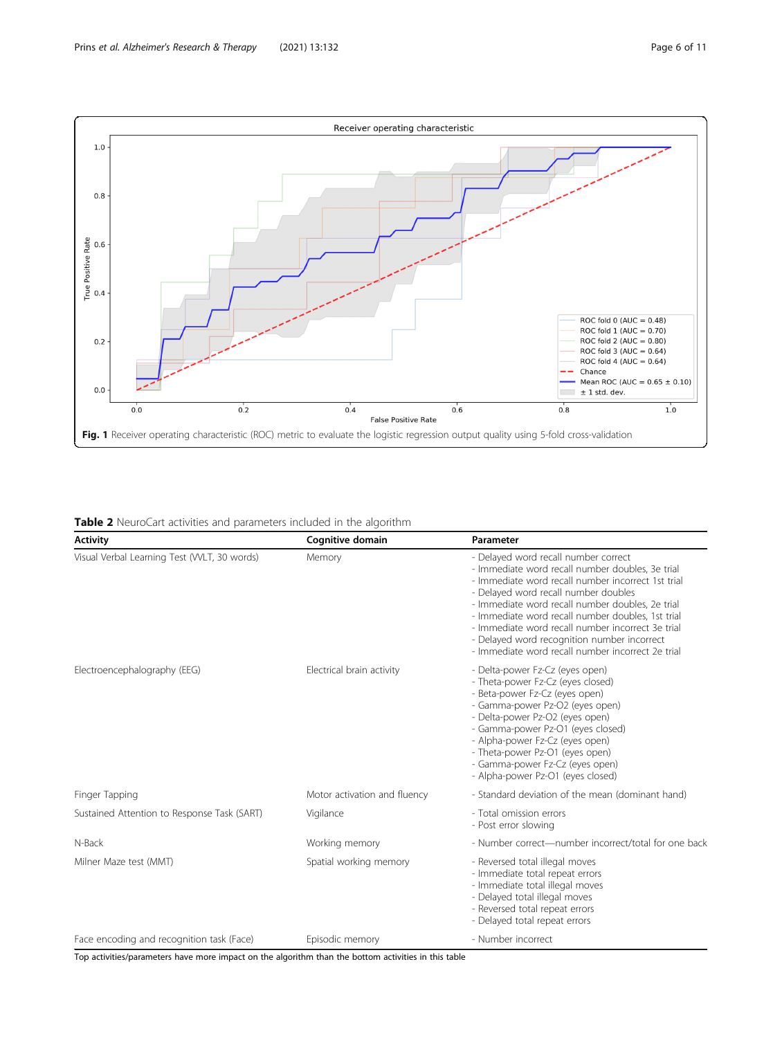<span id="page-5-0"></span>

|  |  | <b>Table 2</b> NeuroCart activities and parameters included in the algorithm |
|--|--|------------------------------------------------------------------------------|
|  |  |                                                                              |

| <b>Activity</b>                             | Cognitive domain             | Parameter                                                                                                                                                                                                                                                                                                                                                                                                                                                |
|---------------------------------------------|------------------------------|----------------------------------------------------------------------------------------------------------------------------------------------------------------------------------------------------------------------------------------------------------------------------------------------------------------------------------------------------------------------------------------------------------------------------------------------------------|
| Visual Verbal Learning Test (WLT, 30 words) | Memory                       | - Delayed word recall number correct<br>- Immediate word recall number doubles, 3e trial<br>- Immediate word recall number incorrect 1st trial<br>- Delayed word recall number doubles<br>- Immediate word recall number doubles, 2e trial<br>- Immediate word recall number doubles, 1st trial<br>- Immediate word recall number incorrect 3e trial<br>- Delayed word recognition number incorrect<br>- Immediate word recall number incorrect 2e trial |
| Electroencephalography (EEG)                | Electrical brain activity    | - Delta-power Fz-Cz (eyes open)<br>- Theta-power Fz-Cz (eyes closed)<br>- Beta-power Fz-Cz (eyes open)<br>- Gamma-power Pz-O2 (eyes open)<br>- Delta-power Pz-O2 (eyes open)<br>- Gamma-power Pz-O1 (eyes closed)<br>- Alpha-power Fz-Cz (eyes open)<br>- Theta-power Pz-O1 (eyes open)<br>- Gamma-power Fz-Cz (eyes open)<br>- Alpha-power Pz-O1 (eyes closed)                                                                                          |
| Finger Tapping                              | Motor activation and fluency | - Standard deviation of the mean (dominant hand)                                                                                                                                                                                                                                                                                                                                                                                                         |
| Sustained Attention to Response Task (SART) | Vigilance                    | - Total omission errors<br>- Post error slowing                                                                                                                                                                                                                                                                                                                                                                                                          |
| N-Back                                      | Working memory               | - Number correct-number incorrect/total for one back                                                                                                                                                                                                                                                                                                                                                                                                     |
| Milner Maze test (MMT)                      | Spatial working memory       | - Reversed total illegal moves<br>- Immediate total repeat errors<br>- Immediate total illegal moves<br>- Delayed total illegal moves<br>- Reversed total repeat errors<br>- Delayed total repeat errors                                                                                                                                                                                                                                                 |
| Face encoding and recognition task (Face)   | Episodic memory              | - Number incorrect                                                                                                                                                                                                                                                                                                                                                                                                                                       |

Top activities/parameters have more impact on the algorithm than the bottom activities in this table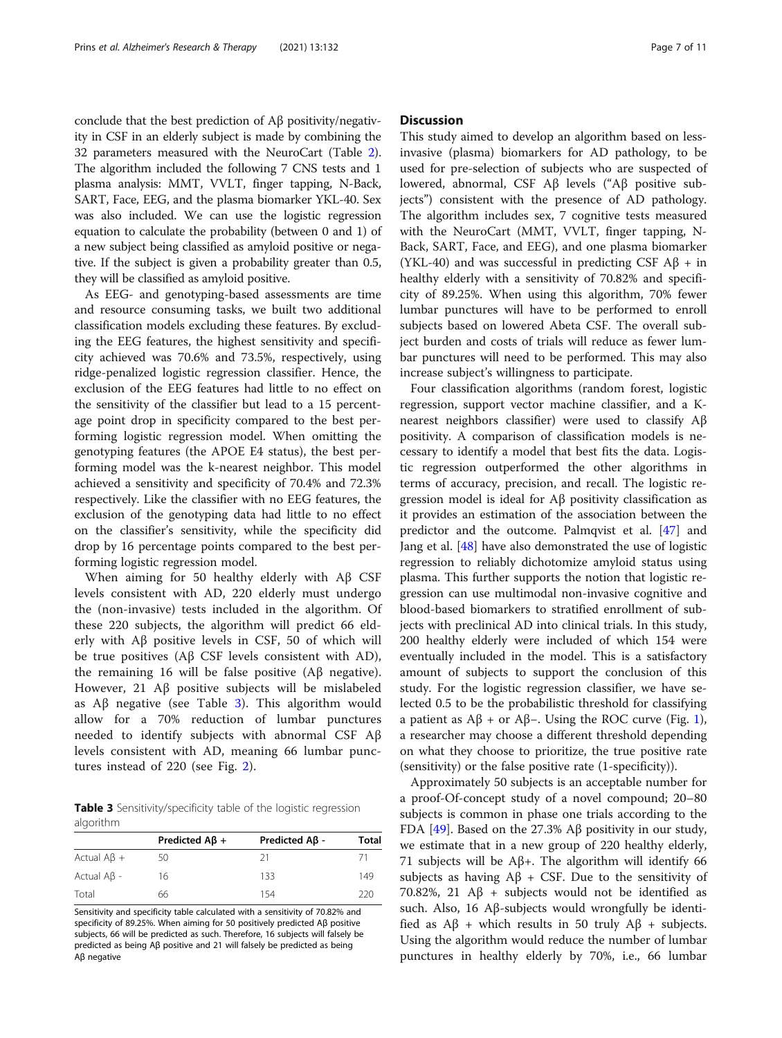conclude that the best prediction of Aβ positivity/negativity in CSF in an elderly subject is made by combining the 32 parameters measured with the NeuroCart (Table [2](#page-5-0)). The algorithm included the following 7 CNS tests and 1 plasma analysis: MMT, VVLT, finger tapping, N-Back, SART, Face, EEG, and the plasma biomarker YKL-40. Sex was also included. We can use the logistic regression equation to calculate the probability (between 0 and 1) of a new subject being classified as amyloid positive or negative. If the subject is given a probability greater than 0.5, they will be classified as amyloid positive.

As EEG- and genotyping-based assessments are time and resource consuming tasks, we built two additional classification models excluding these features. By excluding the EEG features, the highest sensitivity and specificity achieved was 70.6% and 73.5%, respectively, using ridge-penalized logistic regression classifier. Hence, the exclusion of the EEG features had little to no effect on the sensitivity of the classifier but lead to a 15 percentage point drop in specificity compared to the best performing logistic regression model. When omitting the genotyping features (the APOE E4 status), the best performing model was the k-nearest neighbor. This model achieved a sensitivity and specificity of 70.4% and 72.3% respectively. Like the classifier with no EEG features, the exclusion of the genotyping data had little to no effect on the classifier's sensitivity, while the specificity did drop by 16 percentage points compared to the best performing logistic regression model.

When aiming for 50 healthy elderly with Aβ CSF levels consistent with AD, 220 elderly must undergo the (non-invasive) tests included in the algorithm. Of these 220 subjects, the algorithm will predict 66 elderly with Aβ positive levels in CSF, 50 of which will be true positives (Aβ CSF levels consistent with AD), the remaining 16 will be false positive (Aβ negative). However, 21 Aβ positive subjects will be mislabeled as  $\text{A}\beta$  negative (see Table 3). This algorithm would allow for a 70% reduction of lumbar punctures needed to identify subjects with abnormal CSF Aβ levels consistent with AD, meaning 66 lumbar punctures instead of 220 (see Fig. [2\)](#page-7-0).

Table 3 Sensitivity/specificity table of the logistic regression algorithm

| Predicted $AB +$ | Predicted Aβ - | Total |
|------------------|----------------|-------|
| 50               | 21             |       |
| 16               | 133            | 149   |
| 66               | 154            | 220   |
|                  |                |       |

Sensitivity and specificity table calculated with a sensitivity of 70.82% and specificity of 89.25%. When aiming for 50 positively predicted Aβ positive subjects, 66 will be predicted as such. Therefore, 16 subjects will falsely be predicted as being Aβ positive and 21 will falsely be predicted as being Aβ negative

## **Discussion**

This study aimed to develop an algorithm based on lessinvasive (plasma) biomarkers for AD pathology, to be used for pre-selection of subjects who are suspected of lowered, abnormal, CSF Aβ levels ("Aβ positive subjects") consistent with the presence of AD pathology. The algorithm includes sex, 7 cognitive tests measured with the NeuroCart (MMT, VVLT, finger tapping, N-Back, SART, Face, and EEG), and one plasma biomarker (YKL-40) and was successful in predicting CSF  $\mathbf{A}\mathbf{\beta}$  + in healthy elderly with a sensitivity of 70.82% and specificity of 89.25%. When using this algorithm, 70% fewer lumbar punctures will have to be performed to enroll subjects based on lowered Abeta CSF. The overall subject burden and costs of trials will reduce as fewer lumbar punctures will need to be performed. This may also increase subject's willingness to participate.

Four classification algorithms (random forest, logistic regression, support vector machine classifier, and a Knearest neighbors classifier) were used to classify Aβ positivity. A comparison of classification models is necessary to identify a model that best fits the data. Logistic regression outperformed the other algorithms in terms of accuracy, precision, and recall. The logistic regression model is ideal for Aβ positivity classification as it provides an estimation of the association between the predictor and the outcome. Palmqvist et al. [\[47\]](#page-10-0) and Jang et al. [\[48\]](#page-10-0) have also demonstrated the use of logistic regression to reliably dichotomize amyloid status using plasma. This further supports the notion that logistic regression can use multimodal non-invasive cognitive and blood-based biomarkers to stratified enrollment of subjects with preclinical AD into clinical trials. In this study, 200 healthy elderly were included of which 154 were eventually included in the model. This is a satisfactory amount of subjects to support the conclusion of this study. For the logistic regression classifier, we have selected 0.5 to be the probabilistic threshold for classifying a patient as  $\mathbf{A}\mathbf{B}$  + or  $\mathbf{A}\mathbf{B}$ –. Using the ROC curve (Fig. [1](#page-5-0)), a researcher may choose a different threshold depending on what they choose to prioritize, the true positive rate (sensitivity) or the false positive rate (1-specificity)).

Approximately 50 subjects is an acceptable number for a proof-Of-concept study of a novel compound; 20–80 subjects is common in phase one trials according to the FDA [\[49\]](#page-10-0). Based on the 27.3% Aβ positivity in our study, we estimate that in a new group of 220 healthy elderly, 71 subjects will be  $\mathsf{A}\beta$ +. The algorithm will identify 66 subjects as having  $A\beta$  + CSF. Due to the sensitivity of 70.82%, 21 Aβ + subjects would not be identified as such. Also, 16 Aβ-subjects would wrongfully be identified as Aβ + which results in 50 truly Aβ + subjects. Using the algorithm would reduce the number of lumbar punctures in healthy elderly by 70%, i.e., 66 lumbar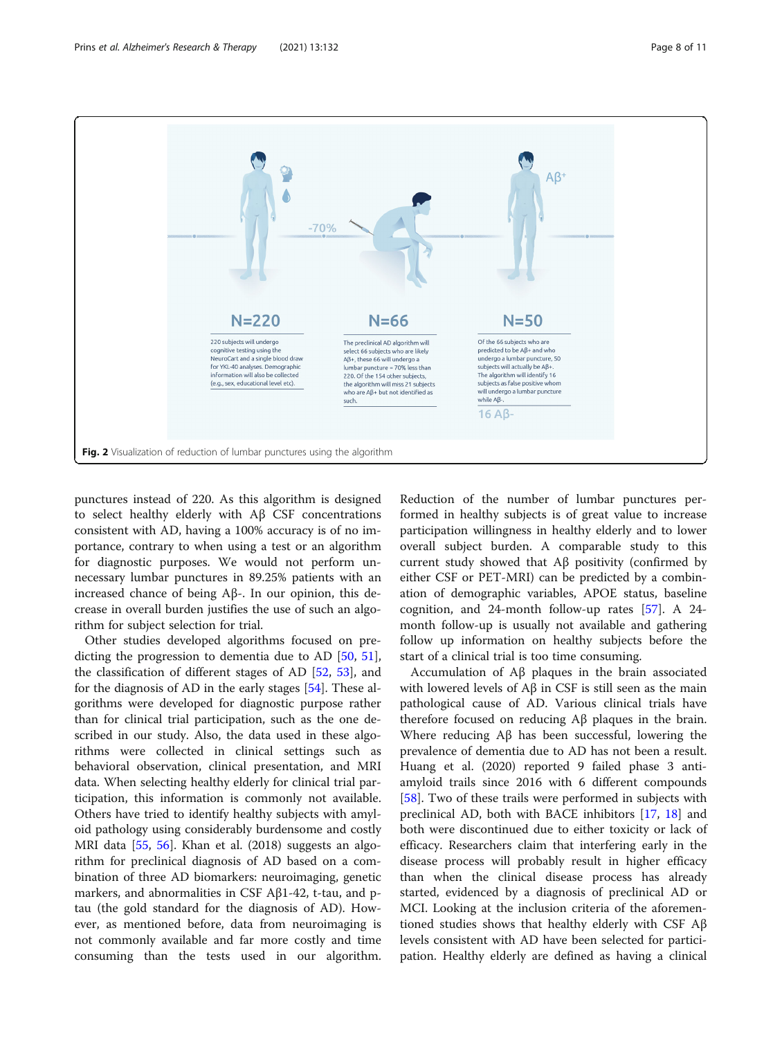<span id="page-7-0"></span>

punctures instead of 220. As this algorithm is designed to select healthy elderly with Aβ CSF concentrations consistent with AD, having a 100% accuracy is of no importance, contrary to when using a test or an algorithm for diagnostic purposes. We would not perform unnecessary lumbar punctures in 89.25% patients with an increased chance of being Aβ-. In our opinion, this decrease in overall burden justifies the use of such an algorithm for subject selection for trial.

Other studies developed algorithms focused on predicting the progression to dementia due to AD [[50,](#page-10-0) [51](#page-10-0)], the classification of different stages of AD [[52](#page-10-0), [53](#page-10-0)], and for the diagnosis of AD in the early stages [[54](#page-10-0)]. These algorithms were developed for diagnostic purpose rather than for clinical trial participation, such as the one described in our study. Also, the data used in these algorithms were collected in clinical settings such as behavioral observation, clinical presentation, and MRI data. When selecting healthy elderly for clinical trial participation, this information is commonly not available. Others have tried to identify healthy subjects with amyloid pathology using considerably burdensome and costly MRI data [\[55](#page-10-0), [56](#page-10-0)]. Khan et al. (2018) suggests an algorithm for preclinical diagnosis of AD based on a combination of three AD biomarkers: neuroimaging, genetic markers, and abnormalities in CSF Aβ1-42, t-tau, and ptau (the gold standard for the diagnosis of AD). However, as mentioned before, data from neuroimaging is not commonly available and far more costly and time consuming than the tests used in our algorithm.

Reduction of the number of lumbar punctures performed in healthy subjects is of great value to increase participation willingness in healthy elderly and to lower overall subject burden. A comparable study to this current study showed that Aβ positivity (confirmed by either CSF or PET-MRI) can be predicted by a combination of demographic variables, APOE status, baseline cognition, and 24-month follow-up rates [[57](#page-10-0)]. A 24 month follow-up is usually not available and gathering follow up information on healthy subjects before the start of a clinical trial is too time consuming.

Accumulation of Aβ plaques in the brain associated with lowered levels of  $A\beta$  in CSF is still seen as the main pathological cause of AD. Various clinical trials have therefore focused on reducing Aβ plaques in the brain. Where reducing Aβ has been successful, lowering the prevalence of dementia due to AD has not been a result. Huang et al. (2020) reported 9 failed phase 3 antiamyloid trails since 2016 with 6 different compounds [[58\]](#page-10-0). Two of these trails were performed in subjects with preclinical AD, both with BACE inhibitors [[17,](#page-9-0) [18](#page-9-0)] and both were discontinued due to either toxicity or lack of efficacy. Researchers claim that interfering early in the disease process will probably result in higher efficacy than when the clinical disease process has already started, evidenced by a diagnosis of preclinical AD or MCI. Looking at the inclusion criteria of the aforementioned studies shows that healthy elderly with CSF Aβ levels consistent with AD have been selected for participation. Healthy elderly are defined as having a clinical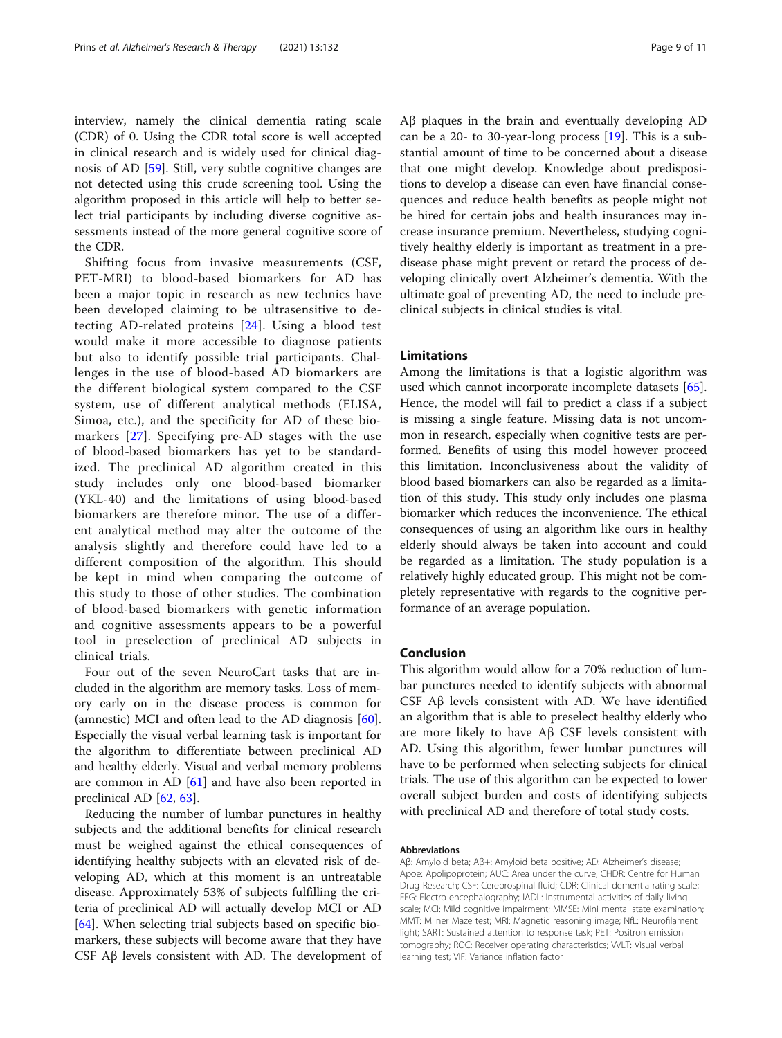interview, namely the clinical dementia rating scale (CDR) of 0. Using the CDR total score is well accepted in clinical research and is widely used for clinical diagnosis of AD [\[59](#page-10-0)]. Still, very subtle cognitive changes are not detected using this crude screening tool. Using the algorithm proposed in this article will help to better select trial participants by including diverse cognitive assessments instead of the more general cognitive score of the CDR.

Shifting focus from invasive measurements (CSF, PET-MRI) to blood-based biomarkers for AD has been a major topic in research as new technics have been developed claiming to be ultrasensitive to detecting AD-related proteins [\[24\]](#page-9-0). Using a blood test would make it more accessible to diagnose patients but also to identify possible trial participants. Challenges in the use of blood-based AD biomarkers are the different biological system compared to the CSF system, use of different analytical methods (ELISA, Simoa, etc.), and the specificity for AD of these biomarkers [[27](#page-9-0)]. Specifying pre-AD stages with the use of blood-based biomarkers has yet to be standardized. The preclinical AD algorithm created in this study includes only one blood-based biomarker (YKL-40) and the limitations of using blood-based biomarkers are therefore minor. The use of a different analytical method may alter the outcome of the analysis slightly and therefore could have led to a different composition of the algorithm. This should be kept in mind when comparing the outcome of this study to those of other studies. The combination of blood-based biomarkers with genetic information and cognitive assessments appears to be a powerful tool in preselection of preclinical AD subjects in clinical trials.

Four out of the seven NeuroCart tasks that are included in the algorithm are memory tasks. Loss of memory early on in the disease process is common for (amnestic) MCI and often lead to the AD diagnosis [\[60](#page-10-0)]. Especially the visual verbal learning task is important for the algorithm to differentiate between preclinical AD and healthy elderly. Visual and verbal memory problems are common in AD  $[61]$  $[61]$  and have also been reported in preclinical AD [[62,](#page-10-0) [63\]](#page-10-0).

Reducing the number of lumbar punctures in healthy subjects and the additional benefits for clinical research must be weighed against the ethical consequences of identifying healthy subjects with an elevated risk of developing AD, which at this moment is an untreatable disease. Approximately 53% of subjects fulfilling the criteria of preclinical AD will actually develop MCI or AD [[64\]](#page-10-0). When selecting trial subjects based on specific biomarkers, these subjects will become aware that they have CSF Aβ levels consistent with AD. The development of Aβ plaques in the brain and eventually developing AD can be a 20- to 30-year-long process [\[19](#page-9-0)]. This is a substantial amount of time to be concerned about a disease that one might develop. Knowledge about predispositions to develop a disease can even have financial consequences and reduce health benefits as people might not be hired for certain jobs and health insurances may increase insurance premium. Nevertheless, studying cognitively healthy elderly is important as treatment in a predisease phase might prevent or retard the process of developing clinically overt Alzheimer's dementia. With the ultimate goal of preventing AD, the need to include preclinical subjects in clinical studies is vital.

## Limitations

Among the limitations is that a logistic algorithm was used which cannot incorporate incomplete datasets [\[65](#page-10-0)]. Hence, the model will fail to predict a class if a subject is missing a single feature. Missing data is not uncommon in research, especially when cognitive tests are performed. Benefits of using this model however proceed this limitation. Inconclusiveness about the validity of blood based biomarkers can also be regarded as a limitation of this study. This study only includes one plasma biomarker which reduces the inconvenience. The ethical consequences of using an algorithm like ours in healthy elderly should always be taken into account and could be regarded as a limitation. The study population is a relatively highly educated group. This might not be completely representative with regards to the cognitive performance of an average population.

## Conclusion

This algorithm would allow for a 70% reduction of lumbar punctures needed to identify subjects with abnormal CSF Aβ levels consistent with AD. We have identified an algorithm that is able to preselect healthy elderly who are more likely to have Aβ CSF levels consistent with AD. Using this algorithm, fewer lumbar punctures will have to be performed when selecting subjects for clinical trials. The use of this algorithm can be expected to lower overall subject burden and costs of identifying subjects with preclinical AD and therefore of total study costs.

#### Abbreviations

Aβ: Amyloid beta; Aβ+: Amyloid beta positive; AD: Alzheimer's disease; Apoe: Apolipoprotein; AUC: Area under the curve; CHDR: Centre for Human Drug Research; CSF: Cerebrospinal fluid; CDR: Clinical dementia rating scale; EEG: Electro encephalography; IADL: Instrumental activities of daily living scale; MCI: Mild cognitive impairment; MMSE: Mini mental state examination; MMT: Milner Maze test; MRI: Magnetic reasoning image; NfL: Neurofilament light; SART: Sustained attention to response task; PET: Positron emission tomography; ROC: Receiver operating characteristics; VVLT: Visual verbal learning test; VIF: Variance inflation factor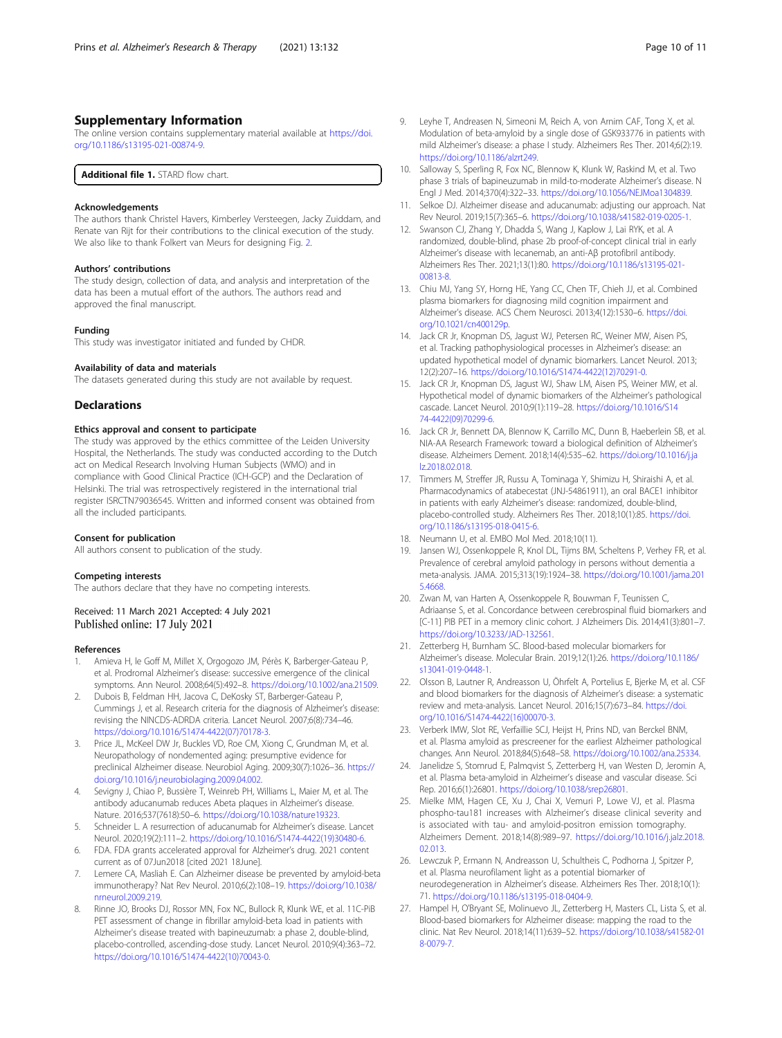## <span id="page-9-0"></span>Supplementary Information

The online version contains supplementary material available at [https://doi.](https://doi.org/10.1186/s13195-021-00874-9) [org/10.1186/s13195-021-00874-9.](https://doi.org/10.1186/s13195-021-00874-9)

Additional file 1. STARD flow chart.

## Acknowledgements

The authors thank Christel Havers, Kimberley Versteegen, Jacky Zuiddam, and Renate van Rijt for their contributions to the clinical execution of the study. We also like to thank Folkert van Meurs for designing Fig. [2](#page-7-0).

#### Authors' contributions

The study design, collection of data, and analysis and interpretation of the data has been a mutual effort of the authors. The authors read and approved the final manuscript.

#### Funding

This study was investigator initiated and funded by CHDR.

#### Availability of data and materials

The datasets generated during this study are not available by request.

## **Declarations**

## Ethics approval and consent to participate

The study was approved by the ethics committee of the Leiden University Hospital, the Netherlands. The study was conducted according to the Dutch act on Medical Research Involving Human Subjects (WMO) and in compliance with Good Clinical Practice (ICH-GCP) and the Declaration of Helsinki. The trial was retrospectively registered in the international trial register ISRCTN79036545. Written and informed consent was obtained from all the included participants.

#### Consent for publication

All authors consent to publication of the study.

#### Competing interests

The authors declare that they have no competing interests.

#### Received: 11 March 2021 Accepted: 4 July 2021 Published online: 17 July 2021

#### References

- 1. Amieva H, le Goff M, Millet X, Orgogozo JM, Pérès K, Barberger-Gateau P, et al. Prodromal Alzheimer's disease: successive emergence of the clinical symptoms. Ann Neurol. 2008;64(5):492–8. [https://doi.org/10.1002/ana.21509.](https://doi.org/10.1002/ana.21509)
- 2. Dubois B, Feldman HH, Jacova C, DeKosky ST, Barberger-Gateau P, Cummings J, et al. Research criteria for the diagnosis of Alzheimer's disease: revising the NINCDS-ADRDA criteria. Lancet Neurol. 2007;6(8):734–46. [https://doi.org/10.1016/S1474-4422\(07\)70178-3.](https://doi.org/10.1016/S1474-4422(07)70178-3)
- Price JL, McKeel DW Jr, Buckles VD, Roe CM, Xiong C, Grundman M, et al. Neuropathology of nondemented aging: presumptive evidence for preclinical Alzheimer disease. Neurobiol Aging. 2009;30(7):1026–36. [https://](https://doi.org/10.1016/j.neurobiolaging.2009.04.002) [doi.org/10.1016/j.neurobiolaging.2009.04.002.](https://doi.org/10.1016/j.neurobiolaging.2009.04.002)
- 4. Sevigny J, Chiao P, Bussière T, Weinreb PH, Williams L, Maier M, et al. The antibody aducanumab reduces Abeta plaques in Alzheimer's disease. Nature. 2016;537(7618):50–6. <https://doi.org/10.1038/nature19323>.
- 5. Schneider L. A resurrection of aducanumab for Alzheimer's disease. Lancet Neurol. 2020;19(2):111–2. [https://doi.org/10.1016/S1474-4422\(19\)30480-6](https://doi.org/10.1016/S1474-4422(19)30480-6).
- 6. FDA. FDA grants accelerated approval for Alzheimer's drug. 2021 content current as of 07Jun2018 [cited 2021 18June].
- 7. Lemere CA, Masliah E. Can Alzheimer disease be prevented by amyloid-beta immunotherapy? Nat Rev Neurol. 2010;6(2):108–19. [https://doi.org/10.1038/](https://doi.org/10.1038/nrneurol.2009.219) [nrneurol.2009.219](https://doi.org/10.1038/nrneurol.2009.219).
- Rinne JO, Brooks DJ, Rossor MN, Fox NC, Bullock R, Klunk WE, et al. 11C-PiB PET assessment of change in fibrillar amyloid-beta load in patients with Alzheimer's disease treated with bapineuzumab: a phase 2, double-blind, placebo-controlled, ascending-dose study. Lancet Neurol. 2010;9(4):363–72. [https://doi.org/10.1016/S1474-4422\(10\)70043-0.](https://doi.org/10.1016/S1474-4422(10)70043-0)
- 9. Leyhe T, Andreasen N, Simeoni M, Reich A, von Arnim CAF, Tong X, et al. Modulation of beta-amyloid by a single dose of GSK933776 in patients with mild Alzheimer's disease: a phase I study. Alzheimers Res Ther. 2014;6(2):19. [https://doi.org/10.1186/alzrt249.](https://doi.org/10.1186/alzrt249)
- 10. Salloway S, Sperling R, Fox NC, Blennow K, Klunk W, Raskind M, et al. Two phase 3 trials of bapineuzumab in mild-to-moderate Alzheimer's disease. N Engl J Med. 2014;370(4):322–33. <https://doi.org/10.1056/NEJMoa1304839>.
- 11. Selkoe DJ. Alzheimer disease and aducanumab: adjusting our approach. Nat Rev Neurol. 2019;15(7):365–6. <https://doi.org/10.1038/s41582-019-0205-1>.
- 12. Swanson CJ, Zhang Y, Dhadda S, Wang J, Kaplow J, Lai RYK, et al. A randomized, double-blind, phase 2b proof-of-concept clinical trial in early Alzheimer's disease with lecanemab, an anti-Aβ protofibril antibody. Alzheimers Res Ther. 2021;13(1):80. [https://doi.org/10.1186/s13195-021-](https://doi.org/10.1186/s13195-021-00813-8) [00813-8](https://doi.org/10.1186/s13195-021-00813-8).
- 13. Chiu MJ, Yang SY, Horng HE, Yang CC, Chen TF, Chieh JJ, et al. Combined plasma biomarkers for diagnosing mild cognition impairment and Alzheimer's disease. ACS Chem Neurosci. 2013;4(12):1530–6. [https://doi.](https://doi.org/10.1021/cn400129p) [org/10.1021/cn400129p](https://doi.org/10.1021/cn400129p).
- 14. Jack CR Jr, Knopman DS, Jagust WJ, Petersen RC, Weiner MW, Aisen PS, et al. Tracking pathophysiological processes in Alzheimer's disease: an updated hypothetical model of dynamic biomarkers. Lancet Neurol. 2013; 12(2):207–16. [https://doi.org/10.1016/S1474-4422\(12\)70291-0.](https://doi.org/10.1016/S1474-4422(12)70291-0)
- 15. Jack CR Jr, Knopman DS, Jagust WJ, Shaw LM, Aisen PS, Weiner MW, et al. Hypothetical model of dynamic biomarkers of the Alzheimer's pathological cascade. Lancet Neurol. 2010;9(1):119–28. [https://doi.org/10.1016/S14](https://doi.org/10.1016/S1474-4422(09)70299-6) [74-4422\(09\)70299-6](https://doi.org/10.1016/S1474-4422(09)70299-6).
- 16. Jack CR Jr, Bennett DA, Blennow K, Carrillo MC, Dunn B, Haeberlein SB, et al. NIA-AA Research Framework: toward a biological definition of Alzheimer's disease. Alzheimers Dement. 2018;14(4):535–62. [https://doi.org/10.1016/j.ja](https://doi.org/10.1016/j.jalz.2018.02.018) [lz.2018.02.018](https://doi.org/10.1016/j.jalz.2018.02.018).
- 17. Timmers M, Streffer JR, Russu A, Tominaga Y, Shimizu H, Shiraishi A, et al. Pharmacodynamics of atabecestat (JNJ-54861911), an oral BACE1 inhibitor in patients with early Alzheimer's disease: randomized, double-blind, placebo-controlled study. Alzheimers Res Ther. 2018;10(1):85. [https://doi.](https://doi.org/10.1186/s13195-018-0415-6) [org/10.1186/s13195-018-0415-6](https://doi.org/10.1186/s13195-018-0415-6).
- 18. Neumann U, et al. EMBO Mol Med. 2018;10(11).
- 19. Jansen WJ, Ossenkoppele R, Knol DL, Tijms BM, Scheltens P, Verhey FR, et al. Prevalence of cerebral amyloid pathology in persons without dementia a meta-analysis. JAMA. 2015;313(19):1924–38. [https://doi.org/10.1001/jama.201](https://doi.org/10.1001/jama.2015.4668) [5.4668](https://doi.org/10.1001/jama.2015.4668).
- 20. Zwan M, van Harten A, Ossenkoppele R, Bouwman F, Teunissen C, Adriaanse S, et al. Concordance between cerebrospinal fluid biomarkers and [C-11] PIB PET in a memory clinic cohort. J Alzheimers Dis. 2014;41(3):801–7. [https://doi.org/10.3233/JAD-132561.](https://doi.org/10.3233/JAD-132561)
- 21. Zetterberg H, Burnham SC. Blood-based molecular biomarkers for Alzheimer's disease. Molecular Brain. 2019;12(1):26. [https://doi.org/10.1186/](https://doi.org/10.1186/s13041-019-0448-1) [s13041-019-0448-1.](https://doi.org/10.1186/s13041-019-0448-1)
- 22. Olsson B, Lautner R, Andreasson U, Öhrfelt A, Portelius E, Bjerke M, et al. CSF and blood biomarkers for the diagnosis of Alzheimer's disease: a systematic review and meta-analysis. Lancet Neurol. 2016;15(7):673–84. [https://doi.](https://doi.org/10.1016/S1474-4422(16)00070-3) [org/10.1016/S1474-4422\(16\)00070-3.](https://doi.org/10.1016/S1474-4422(16)00070-3)
- 23. Verberk IMW, Slot RE, Verfaillie SCJ, Heijst H, Prins ND, van Berckel BNM, et al. Plasma amyloid as prescreener for the earliest Alzheimer pathological changes. Ann Neurol. 2018;84(5):648–58. [https://doi.org/10.1002/ana.25334.](https://doi.org/10.1002/ana.25334)
- 24. Janelidze S, Stomrud E, Palmqvist S, Zetterberg H, van Westen D, Jeromin A, et al. Plasma beta-amyloid in Alzheimer's disease and vascular disease. Sci Rep. 2016;6(1):26801. <https://doi.org/10.1038/srep26801>.
- 25. Mielke MM, Hagen CE, Xu J, Chai X, Vemuri P, Lowe VJ, et al. Plasma phospho-tau181 increases with Alzheimer's disease clinical severity and is associated with tau- and amyloid-positron emission tomography. Alzheimers Dement. 2018;14(8):989–97. [https://doi.org/10.1016/j.jalz.2018.](https://doi.org/10.1016/j.jalz.2018.02.013) [02.013.](https://doi.org/10.1016/j.jalz.2018.02.013)
- 26. Lewczuk P, Ermann N, Andreasson U, Schultheis C, Podhorna J, Spitzer P, et al. Plasma neurofilament light as a potential biomarker of neurodegeneration in Alzheimer's disease. Alzheimers Res Ther. 2018;10(1): 71. <https://doi.org/10.1186/s13195-018-0404-9>.
- 27. Hampel H, O'Bryant SE, Molinuevo JL, Zetterberg H, Masters CL, Lista S, et al. Blood-based biomarkers for Alzheimer disease: mapping the road to the clinic. Nat Rev Neurol. 2018;14(11):639–52. [https://doi.org/10.1038/s41582-01](https://doi.org/10.1038/s41582-018-0079-7) [8-0079-7](https://doi.org/10.1038/s41582-018-0079-7).